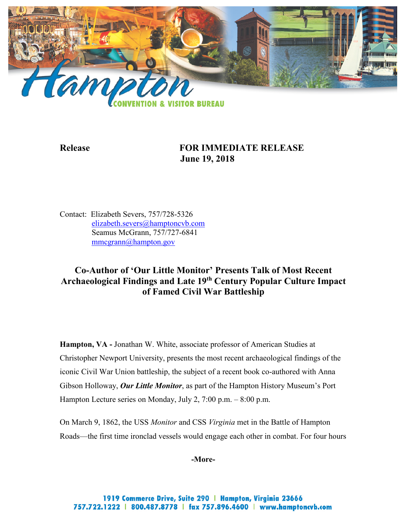

# **Release FOR IMMEDIATE RELEASE June 19, 2018**

Contact: Elizabeth Severs, 757/728-5326 [elizabeth.severs@hamptoncvb.com](mailto:elizabeth.severs@hamptoncvb.com) Seamus McGrann, 757/727-6841 [mmcgrann@hampton.gov](mailto:mmcgrann@hampton.gov)

# **Co-Author of 'Our Little Monitor' Presents Talk of Most Recent Archaeological Findings and Late 19th Century Popular Culture Impact of Famed Civil War Battleship**

**Hampton, VA -** Jonathan W. White, associate professor of American Studies at Christopher Newport University, presents the most recent archaeological findings of the iconic Civil War Union battleship, the subject of a recent book co-authored with Anna Gibson Holloway, *Our Little Monitor*, as part of the Hampton History Museum's Port Hampton Lecture series on Monday, July 2, 7:00 p.m. – 8:00 p.m.

On March 9, 1862, the USS *Monitor* and CSS *Virginia* met in the Battle of Hampton Roads—the first time ironclad vessels would engage each other in combat. For four hours

**-More-**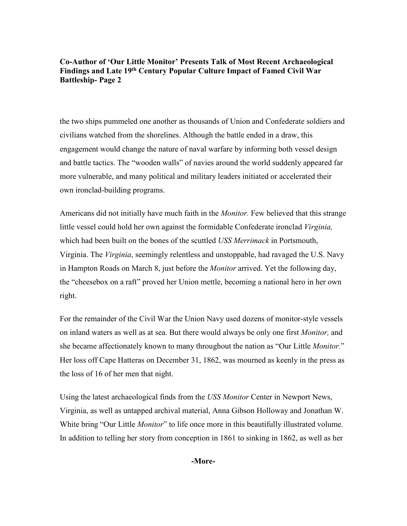### **Co-Author of 'Our Little Monitor' Presents Talk of Most Recent Archaeological Findings and Late 19th Century Popular Culture Impact of Famed Civil War Battleship- Page 2**

the two ships pummeled one another as thousands of Union and Confederate soldiers and civilians watched from the shorelines. Although the battle ended in a draw, this engagement would change the nature of naval warfare by informing both vessel design and battle tactics. The "wooden walls" of navies around the world suddenly appeared far more vulnerable, and many political and military leaders initiated or accelerated their own ironclad-building programs.

Americans did not initially have much faith in the *Monitor.* Few believed that this strange little vessel could hold her own against the formidable Confederate ironclad *Virginia,* which had been built on the bones of the scuttled *USS Merrimack* in Portsmouth, Virginia. The *Virginia*, seemingly relentless and unstoppable, had ravaged the U.S. Navy in Hampton Roads on March 8, just before the *Monitor* arrived. Yet the following day, the "cheesebox on a raft" proved her Union mettle, becoming a national hero in her own right.

For the remainder of the Civil War the Union Navy used dozens of monitor-style vessels on inland waters as well as at sea. But there would always be only one first *Monitor,* and she became affectionately known to many throughout the nation as "Our Little *Monitor.*" Her loss off Cape Hatteras on December 31, 1862, was mourned as keenly in the press as the loss of 16 of her men that night.

Using the latest archaeological finds from the *USS Monitor* Center in Newport News, Virginia, as well as untapped archival material, Anna Gibson Holloway and Jonathan W. White bring "Our Little *Monitor*" to life once more in this beautifully illustrated volume. In addition to telling her story from conception in 1861 to sinking in 1862, as well as her

**-More-**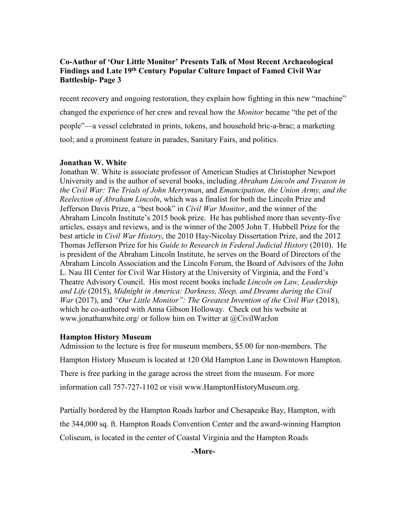## **Co-Author of 'Our Little Monitor' Presents Talk of Most Recent Archaeological Findings and Late 19th Century Popular Culture Impact of Famed Civil War Battleship- Page 3**

recent recovery and ongoing restoration, they explain how fighting in this new "machine" changed the experience of her crew and reveal how the *Monitor* became "the pet of the people"—a vessel celebrated in prints, tokens, and household bric-a-brac; a marketing tool; and a prominent feature in parades, Sanitary Fairs, and politics.

#### **Jonathan W. White**

Jonathan W. White is associate professor of American Studies at Christopher Newport University and is the author of several books, including *Abraham Lincoln and Treason in the Civil War: The Trials of John Merryman*, and *Emancipation, the Union Army, and the Reelection of Abraham Lincoln*, which was a finalist for both the Lincoln Prize and Jefferson Davis Prize, a "best book" in *Civil War Monitor*, and the winner of the Abraham Lincoln Institute's 2015 book prize. He has published more than seventy-five articles, essays and reviews, and is the winner of the 2005 John T. Hubbell Prize for the best article in *Civil War History*, the 2010 Hay-Nicolay Dissertation Prize, and the 2012 Thomas Jefferson Prize for his *Guide to Research in Federal Judicial History* (2010). He is president of the Abraham Lincoln Institute, he serves on the Board of Directors of the Abraham Lincoln Association and the Lincoln Forum, the Board of Advisors of the John L. Nau III Center for Civil War History at the University of Virginia, and the Ford's Theatre Advisory Council. His most recent books include *Lincoln on Law, Leadership and Life* (2015), *Midnight in America: Darkness, Sleep, and Dreams during the Civil War* (2017), and *"Our Little Monitor": The Greatest Invention of the Civil War* (2018), which he co-authored with Anna Gibson Holloway. Check out his website at www.jonathanwhite.org/ or follow him on Twitter at @CivilWarJon

## **Hampton History Museum**

Admission to the lecture is free for museum members, \$5.00 for non-members. The Hampton History Museum is located at 120 Old Hampton Lane in Downtown Hampton. There is free parking in the garage across the street from the museum. For more information call 757-727-1102 or visit [www.HamptonHistoryMuseum.org.](http://www.hamptonhistorymuseum.org/)

Partially bordered by the Hampton Roads harbor and Chesapeake Bay, Hampton, with the 344,000 sq. ft. Hampton Roads Convention Center and the award-winning Hampton Coliseum, is located in the center of Coastal Virginia and the Hampton Roads

**-More-**